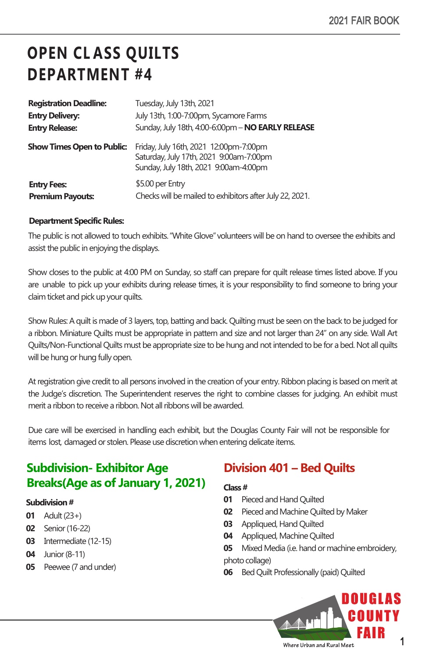# **OPEN CL ASS QUILTS DEPARTMENT #4**

| <b>Registration Deadline:</b>     | Tuesday, July 13th, 2021                                                                                                   |
|-----------------------------------|----------------------------------------------------------------------------------------------------------------------------|
| <b>Entry Delivery:</b>            | July 13th, 1:00-7:00pm, Sycamore Farms                                                                                     |
| <b>Entry Release:</b>             | Sunday, July 18th, 4:00-6:00pm - NO EARLY RELEASE                                                                          |
| <b>Show Times Open to Public:</b> | Friday, July 16th, 2021 12:00pm-7:00pm<br>Saturday, July 17th, 2021 9:00am-7:00pm<br>Sunday, July 18th, 2021 9:00am-4:00pm |
| <b>Entry Fees:</b>                | \$5.00 per Entry                                                                                                           |
| <b>Premium Payouts:</b>           | Checks will be mailed to exhibitors after July 22, 2021.                                                                   |

#### **Department Specific Rules:**

The public is not allowed to touch exhibits. "White Glove"volunteers will be on hand to oversee the exhibits and assist the public in enjoying the displays.

Show closes to the public at 4:00 PM on Sunday, so staff can prepare for quilt release times listed above. If you are unable to pick up your exhibits during release times, it is your responsibility to find someone to bring your claim ticket and pick up your quilts.

Show Rules: A quilt is made of 3 layers, top, batting and back. Quilting must be seen on the back to be judged for a ribbon. Miniature Quilts must be appropriate in pattern and size and not larger than 24" on any side. Wall Art Quilts/Non-Functional Quilts must be appropriate size to be hung and not intended to be for a bed. Not all quilts will be hung or hung fully open.

At registration give credit to all persons involved in the creation of your entry. Ribbon placing is based on merit at the Judge's discretion. The Superintendent reserves the right to combine classes for judging. An exhibit must merit a ribbon to receive a ribbon. Not all ribbons will be awarded.

Due care will be exercised in handling each exhibit, but the Douglas County Fair will not be responsible for items lost, damaged or stolen. Please use discretion when entering delicate items.

# **Subdivision- Exhibitor Age Breaks(Age as of January 1, 2021)**

#### **Subdivision#**

- **01** Adult(23+)
- **02** Senior(16-22)
- **03** Intermediate (12-15)
- **04** Junior (8-11)
- **05** Peewee (7 and under)

### **Division 401 – Bed Quilts**

#### **Class #**

- **01** Pieced and Hand Quilted
- **02** Pieced and Machine Quilted by Maker
- **03** Appliqued, Hand Quilted
- **04** Appliqued, Machine Quilted
- **05** Mixed Media (i.e. hand or machine embroidery,

#### photo collage)

**06** Bed Quilt Professionally (paid) Quilted